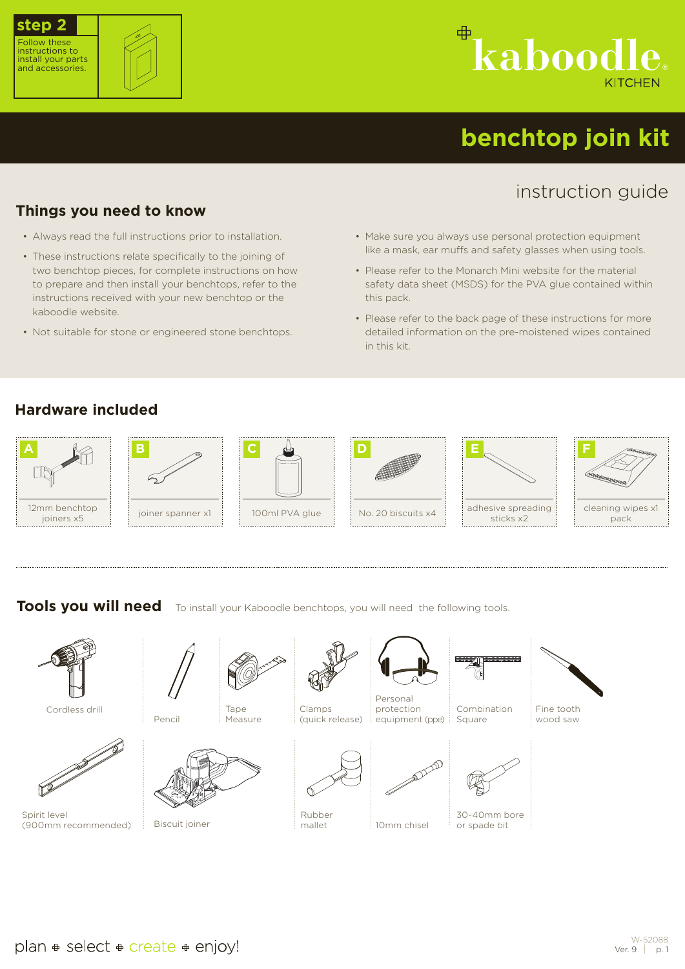



# ⊕ kaboodl

## **benchtop join kit**

### instruction guide

#### **Things you need to know**

- Always read the full instructions prior to installation.
- These instructions relate specifically to the joining of two benchtop pieces, for complete instructions on how to prepare and then install your benchtops, refer to the instructions received with your new benchtop or the kaboodle website.
- Not suitable for stone or engineered stone benchtops.
- Make sure you always use personal protection equipment like a mask, ear muffs and safety glasses when using tools.
- Please refer to the Monarch Mini website for the material safety data sheet (MSDS) for the PVA glue contained within this pack.
- Please refer to the back page of these instructions for more detailed information on the pre-moistened wipes contained in this kit.

#### **Hardware included**









10mm chisel

adhesive spreading



**Tools you will need** To install your Kaboodle benchtops, you will need the following tools.

Clamps (quick release) Combination Square Pencil Tape Measure Personal protection equipment (ppe) Cordless drill





30-40mm bore or spade bit



Fine tooth wood saw



Spirit level (900mm recommended)



Biscuit joiner



mallet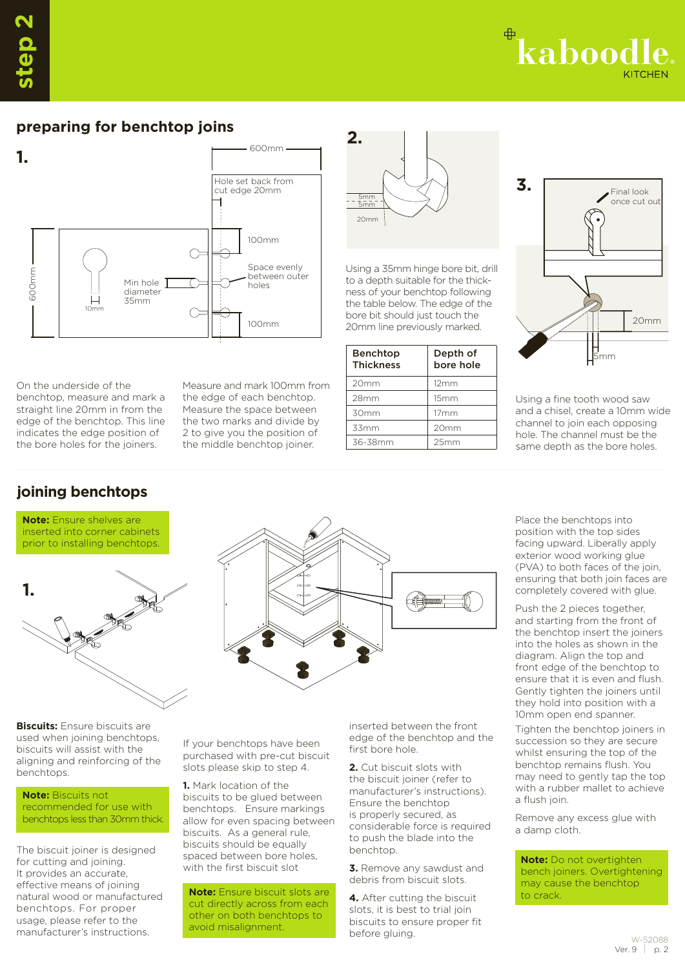kaboodl

#### **preparing for benchtop joins**



On the underside of the benchtop, measure and mark a straight line 20mm in from the edge of the benchtop. This line indicates the edge position of the bore holes for the joiners.

Measure and mark 100mm from the edge of each benchtop. Measure the space between the two marks and divide by 2 to give you the position of the middle benchtop joiner.

### **joining benchtops**





20mm 5mm 5mm

Benchtop Thickness

20mm 12mm 28mm 15mm 30mm 17mm 33mm 20mm 36-38mm 25mm

**2.**

Using a 35mm hinge bore bit, drill to a depth suitable for the thickness of your benchtop following the table below. The edge of the bore bit should just touch the 20mm line previously marked.

> Depth of bore hole

**Biscuits:** Ensure biscuits are used when joining benchtops, biscuits will assist with the aligning and reinforcing of the benchtops.

**Note:** Biscuits not recommended for use with benchtops less than 30mm thick.

The biscuit joiner is designed for cutting and joining. It provides an accurate, effective means of joining natural wood or manufactured benchtops. For proper usage, please refer to the manufacturer's instructions.

If your benchtops have been purchased with pre-cut biscuit slots please skip to step 4.

**1.** Mark location of the biscuits to be glued between benchtops. Ensure markings allow for even spacing between biscuits. As a general rule, biscuits should be equally spaced between bore holes, with the first biscuit slot

**Note:** Ensure biscuit slots are cut directly across from each other on both benchtops to avoid misalignment.

inserted between the front edge of the benchtop and the first bore hole.

**2.** Cut biscuit slots with the biscuit joiner (refer to manufacturer's instructions). Ensure the benchtop is properly secured, as considerable force is required to push the blade into the benchtop.

**3.** Remove any sawdust and debris from biscuit slots.

**4.** After cutting the biscuit slots, it is best to trial join biscuits to ensure proper fit before gluing.



Using a fine tooth wood saw and a chisel, create a 10mm wide channel to join each opposing hole. The channel must be the same depth as the bore holes.

Place the benchtops into position with the top sides facing upward. Liberally apply exterior wood working glue (PVA) to both faces of the join, ensuring that both join faces are completely covered with glue.

Push the 2 pieces together, and starting from the front of the benchtop insert the joiners into the holes as shown in the diagram. Align the top and front edge of the benchtop to ensure that it is even and flush. Gently tighten the joiners until they hold into position with a 10mm open end spanner.

Tighten the benchtop joiners in succession so they are secure whilst ensuring the top of the benchtop remains flush. You may need to gently tap the top with a rubber mallet to achieve a flush join.

Remove any excess glue with a damp cloth.

**Note:** Do not overtighten bench joiners. Overtightening may cause the benchtop to crack.